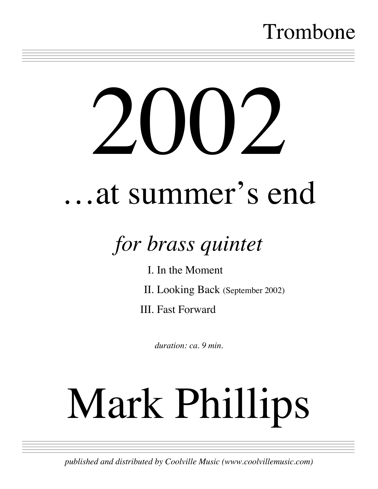## Trombone

# $2000$

==============================

# …at summer's end

# *for brass quintet*

I. In the Moment

II. Looking Back (September 2002)

III. Fast Forward

*duration: ca. 9 min.*

# Mark Phillips

============================== *published and distributed by Coolville Music (www.coolvillemusic.com)*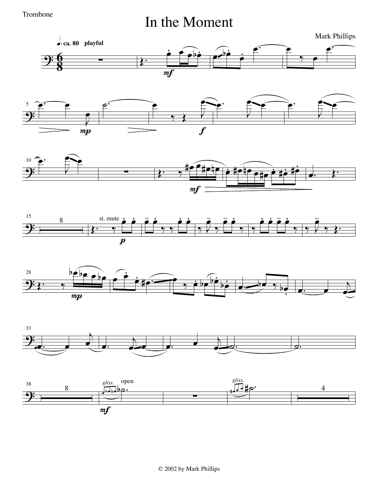Trombone

### In the Moment

Mark Phillips













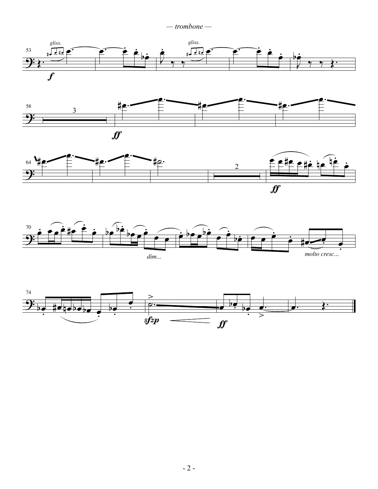*— trombone —*









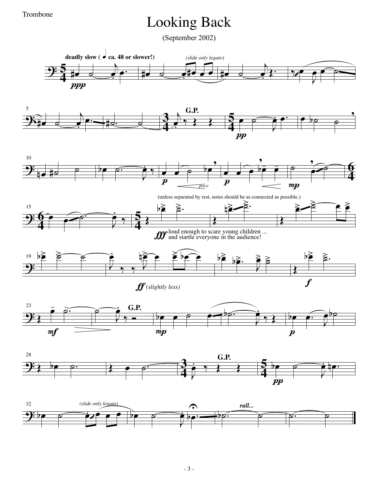Trombone

### Looking Back

(September 2002)

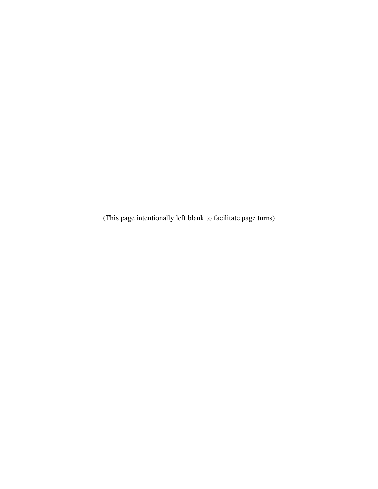(This page intentionally left blank to facilitate page turns)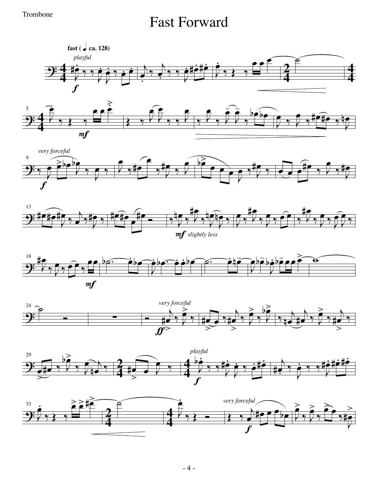### Trombone<br>
Fast Forward



 $\overline{t}$